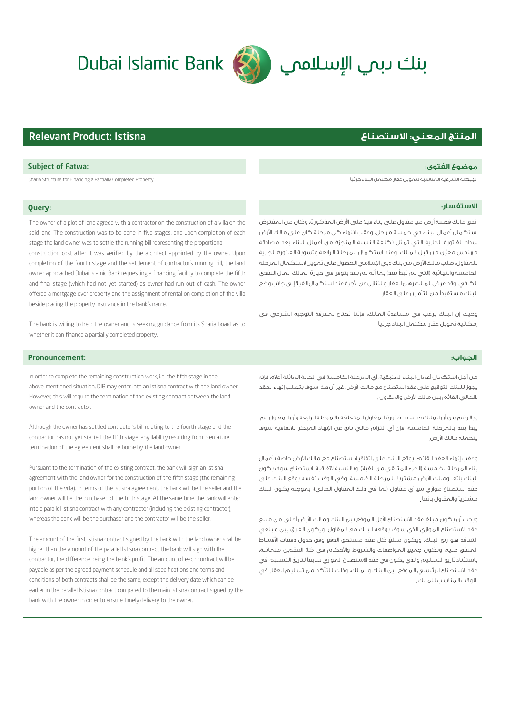# **المنتج المعني: الاستصناع** Istisna :Product Relevant

الهيكلة الشرعية المناسبة لتمويل عقار مكتمل البناء جزئي Property Completed Partially a Financing for Structure Sharia

# **الاستفسار:**

اتفق مالك قطعة أرض مع مقاول على بناء فيلا على ارض المذكورة، وكان من المفترض استكمال أعمال البناء في خمسة مراحل، وعقب انتهاء كل مرحلة كان على مالك ارض سداد الفاتورة الجارية التي تمثل تكلفة النسبة المنجزة من أعمال البناء بعد مصادقة ّ مهندس معين من قبل المالك. وعند استكمال المرحلة الرابعة وتسوية الفاتورة الجارية للمقاول، طلب مالك الأرض من بنك دبي الإسلامي الحصول على تمويل لاستكمال المرحلة الخامسة والنهائية (التي لم تبدأ بعد) بما أنه لم يعد يتوفر في حيازة المالك المال النقدي الكافي. وقد عرض المالك رهن العقار والتنازل عن اجرة عند استكمال الفيلا إلى جانب وضع لبنك مستفيدا من التامين على العقار .

وحيث إن البنك يرغب في مساعدة المالك، فإننا نحتاج لمعرفة التوجيه الشرعي في . إمكانية تمويل عقار مكتمل البناء جزئي

## Pronouncement:

من أجل استكمال أعمال البناء المتبقية، أي المرحلة الخامسة في الحالة الماثلة أعلاه، فإنه يجوز للبنك التوقيع على عقد استصناع مع مالك ارض. غير أن هذا سوف يتطلب إنهاء العقد .الحالي القائم بين مالك الأرض والمقاول .

وبالرغم من أن المالك قد سدد فاتورة المقاول المتعلقة بالمرحلة الرابعة وأن المقاول لم يبدأ بعد بالمرحلة الخامسة، فإن أي التزام مالي ناتج عن انهاء المبكر للاتفاقية سوف يتحمله مالك ارض .

وعقب إنهاء العقد القائم، يوقع البنك على اتفاقية استصناع مع مالك ارض خاصة بأعمال بناء المرحلة الخامسة (الجزء المتبقي من الفيلا). وبالنسبة لاتفاقية الاستصناع سوف يكون البنك بائعاً ومالك الأرض مشترياً للمرحلة الخامسة، وفي الوقت نفسه يوقع البنك على عقد استصناع موازي مع أي مقاول (بما في ذلك المقاول الحالي)، بموجبه يكون البنك عشتريا والمقاول بائعا .

ويجب أن يكون مبلغ عقد الاستصناع الأول الموقع بين البنك ومالك الأرض أعلى مبن مبلغ عقد الاستصناع الموازي الذي سوف يوقعه البنك مع المقاول، ويكون الفارق بين مبلغي التعاقد هو ربح البنك. ويكون مبلغ كل عقد مستحق الدفع وفق جدول دفعات اقساط المتفق عليه، وتكون جميع المواصفات والشروط والأحكام في كلا العقدين متماثلة، باستثناء تاريخ التسليم والذي يكون في عقد الاستصناع الموازي سابق لتاريخ التسليم في عقد الاستصناع الرئيسي الموقع بين البنك والمالك، وذلك للتأكد من تسليم العقار في .الوقت المناسب للمالك .

In order to complete the remaining construction work, i.e. the fifth stage in the above-mentioned situation, DIB may enter into an Istisna contract with the land owner. However, this will require the termination of the existing contract between the land owner and the contractor.

Although the owner has settled contractor's bill relating to the fourth stage and the contractor has not yet started the fifth stage, any liability resulting from premature termination of the agreement shall be borne by the land owner.

Pursuant to the termination of the existing contract, the bank will sign an Istisna agreement with the land owner for the construction of the fifth stage (the remaining portion of the villa). In terms of the Istisna agreement, the bank will be the seller and the land owner will be the purchaser of the fifth stage. At the same time the bank will enter into a parallel Istisna contract with any contractor (including the existing contractor), whereas the bank will be the purchaser and the contractor will be the seller.

The amount of the first Istisna contract signed by the bank with the land owner shall be higher than the amount of the parallel Istisna contract the bank will sign with the contractor, the difference being the bank's profit. The amount of each contract will be payable as per the agreed payment schedule and all specifications and terms and conditions of both contracts shall be the same, except the delivery date which can be earlier in the parallel Istisna contract compared to the main Istisna contract signed by the bank with the owner in order to ensure timely delivery to the owner.

# Subject of Fatwa: **:الفتوى موضوع**

# Query:

The owner of a plot of land agreed with a contractor on the construction of a villa on the said land. The construction was to be done in five stages, and upon completion of each stage the land owner was to settle the running bill representing the proportional construction cost after it was verified by the architect appointed by the owner. Upon

completion of the fourth stage and the settlement of contractor's running bill, the land owner approached Dubai Islamic Bank requesting a financing facility to complete the fifth and final stage (which had not yet started) as owner had run out of cash. The owner offered a mortgage over property and the assignment of rental on completion of the villa beside placing the property insurance in the bank's name.

The bank is willing to help the owner and is seeking guidance from its Sharia board as to whether it can finance a partially completed property.



# **الجواب:ز**